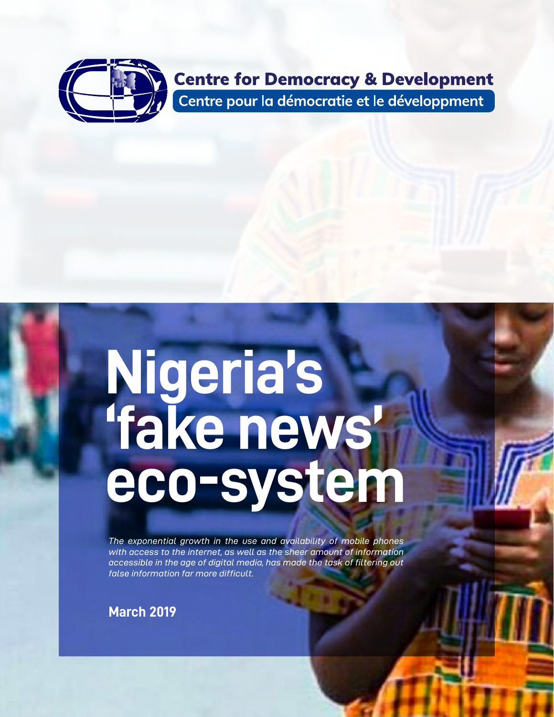

#### **Centre for Democracy & Development** Centre pour la démocratie et le développment

# **Nigeria's 'fake news' eco-system**

*The exponential growth in the use and availability of mobile phones with access to the internet, as well as the sheer amount of information accessible in the age of digital media, has made the task of filtering out false information far more difficult.* 

**March 2019**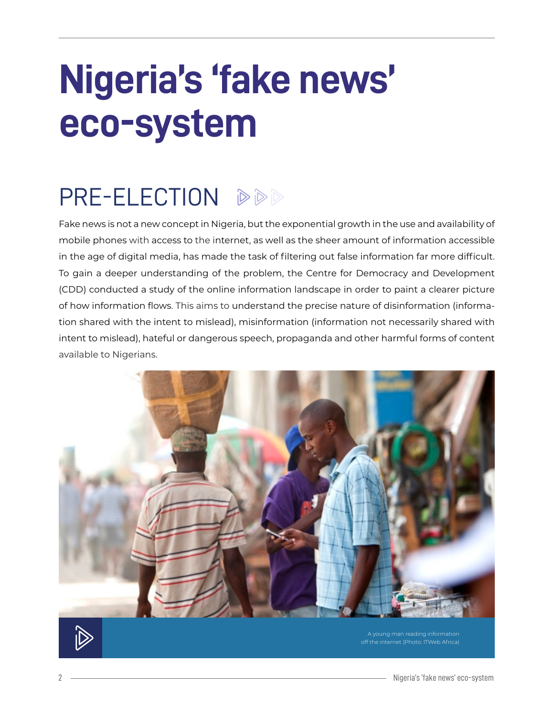# **Nigeria's 'fake news' eco-system**

## PRE-ELECTION DDD

Fake news is not a new concept in Nigeria, but the exponential growth in the use and availability of mobile phones with access to the internet, as well as the sheer amount of information accessible in the age of digital media, has made the task of filtering out false information far more difficult. To gain a deeper understanding of the problem, the Centre for Democracy and Development (CDD) conducted a study of the online information landscape in order to paint a clearer picture of how information flows. This aims to understand the precise nature of disinformation (information shared with the intent to mislead), misinformation (information not necessarily shared with intent to mislead), hateful or dangerous speech, propaganda and other harmful forms of content available to Nigerians.



off the internet (Photo: ITWeb Africa)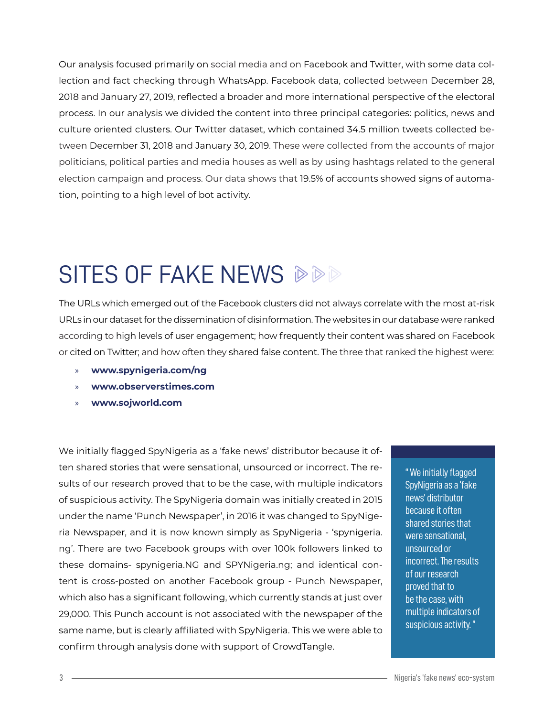Our analysis focused primarily on social media and on Facebook and Twitter, with some data collection and fact checking through WhatsApp. Facebook data, collected between December 28, 2018 and January 27, 2019, reflected a broader and more international perspective of the electoral process. In our analysis we divided the content into three principal categories: politics, news and culture oriented clusters. Our Twitter dataset, which contained 34.5 million tweets collected between December 31, 2018 and January 30, 2019. These were collected from the accounts of major politicians, political parties and media houses as well as by using hashtags related to the general election campaign and process. Our data shows that 19.5% of accounts showed signs of automation, pointing to a high level of bot activity.

#### SITES OF FAKE NEWS  $\Diamond \Diamond \Diamond$

The URLs which emerged out of the Facebook clusters did not always correlate with the most at-risk URLs in our dataset for the dissemination of disinformation. The websites in our database were ranked according to high levels of user engagement; how frequently their content was shared on Facebook or cited on Twitter; and how often they shared false content. The three that ranked the highest were:

- » **www.spynigeria.com/ng**
- » **www.observerstimes.com**
- » **www.sojworld.com**

We initially flagged SpyNigeria as a 'fake news' distributor because it often shared stories that were sensational, unsourced or incorrect. The results of our research proved that to be the case, with multiple indicators of suspicious activity. The SpyNigeria domain was initially created in 2015 under the name 'Punch Newspaper', in 2016 it was changed to SpyNigeria Newspaper, and it is now known simply as SpyNigeria - 'spynigeria. ng'. There are two Facebook groups with over 100k followers linked to these domains- spynigeria.NG and SPYNigeria.ng; and identical content is cross-posted on another Facebook group - Punch Newspaper, which also has a significant following, which currently stands at just over 29,000. This Punch account is not associated with the newspaper of the same name, but is clearly affiliated with SpyNigeria. This we were able to confirm through analysis done with support of CrowdTangle.

" We initially flagged SpyNigeria as a 'fake news' distributor because it often shared stories that were sensational, unsourced or incorrect. The results of our research proved that to be the case, with multiple indicators of suspicious activity. "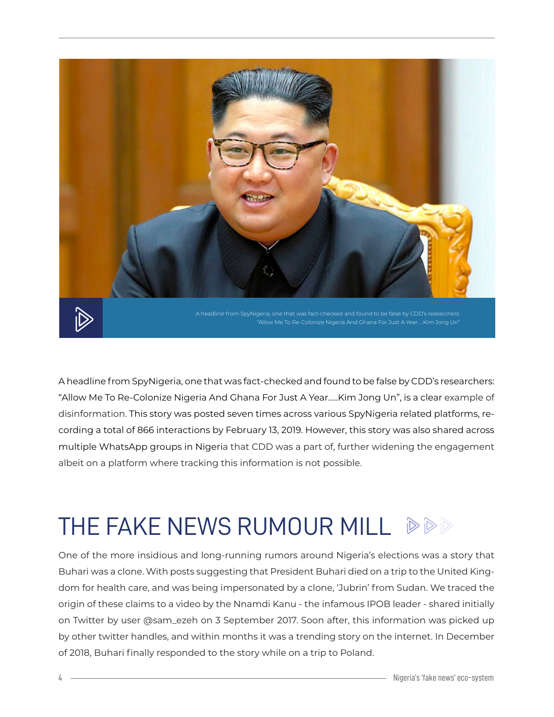

A headline from SpyNigeria, one that was fact-checked and found to be false by CDD's researchers: "Allow Me To Re-Colonize Nigeria And Ghana For Just A Year…..Kim Jong Un", is a clear example of disinformation. This story was posted seven times across various SpyNigeria related platforms, recording a total of 866 interactions by February 13, 2019. However, this story was also shared across multiple WhatsApp groups in Nigeria that CDD was a part of, further widening the engagement albeit on a platform where tracking this information is not possible.

### THE FAKE NEWS RUMOUR MILL  $\Diamond \Diamond \Diamond$

One of the more insidious and long-running rumors around Nigeria's elections was a story that Buhari was a clone. With posts suggesting that President Buhari died on a trip to the United Kingdom for health care, and was being impersonated by a clone, 'Jubrin' from Sudan. We traced the origin of these claims to a video by the Nnamdi Kanu - the infamous IPOB leader - shared initially on Twitter by user @sam\_ezeh on 3 September 2017. Soon after, this information was picked up by other twitter handles, and within months it was a trending story on the internet. In December of 2018, Buhari finally responded to the story while on a trip to Poland.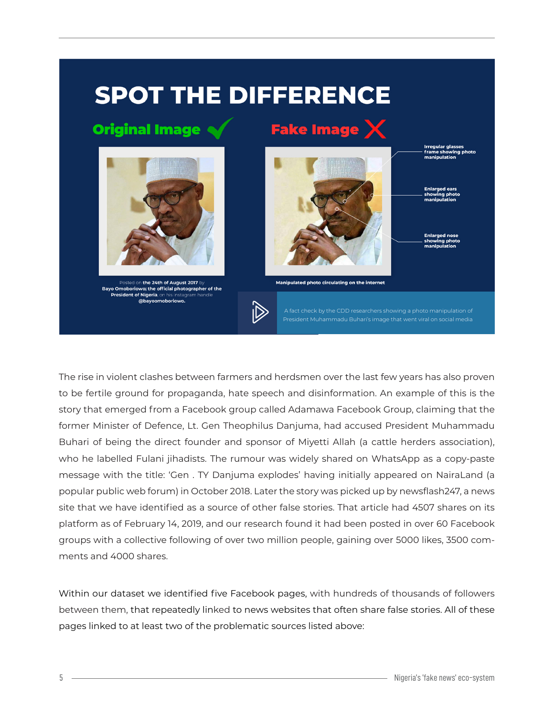#### **SPOT THE DIFFERENCE**

#### **Original Image**



Posted on the 24th of August 2017 by Bayo Omoboriowo; the official photographer of the President of Nigeria, on his instagram handl @bayoomoborio



Manipulated photo circulating on the internet

İD

President Muhammadu Buhari's image that went viral on social media

Irregular glasse:

The rise in violent clashes between farmers and herdsmen over the last few years has also proven to be fertile ground for propaganda, hate speech and disinformation. An example of this is the story that emerged from a Facebook group called Adamawa Facebook Group, claiming that the former Minister of Defence, Lt. Gen Theophilus Danjuma, had accused President Muhammadu Buhari of being the direct founder and sponsor of Miyetti Allah (a cattle herders association), who he labelled Fulani jihadists. The rumour was widely shared on WhatsApp as a copy-paste message with the title: 'Gen . TY Danjuma explodes' having initially appeared on NairaLand (a popular public web forum) in October 2018. Later the story was picked up by newsflash247, a news site that we have identified as a source of other false stories. That article had 4507 shares on its platform as of February 14, 2019, and our research found it had been posted in over 60 Facebook groups with a collective following of over two million people, gaining over 5000 likes, 3500 comments and 4000 shares.

Within our dataset we identified five Facebook pages, with hundreds of thousands of followers between them, that repeatedly linked to news websites that often share false stories. All of these pages linked to at least two of the problematic sources listed above: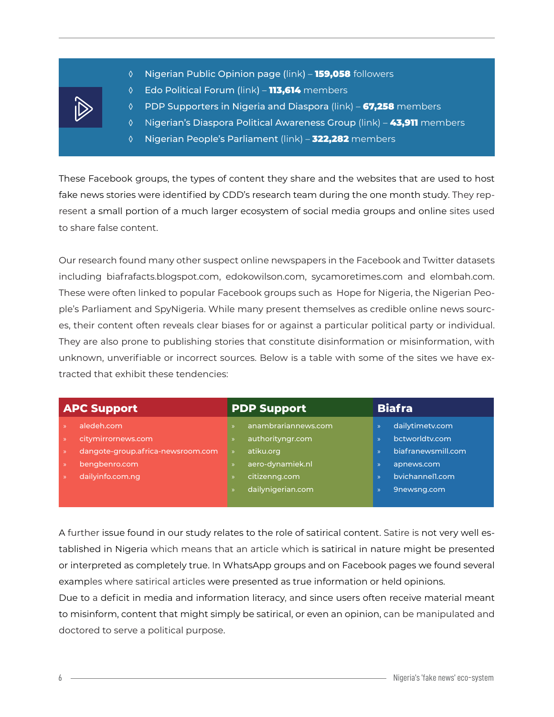- 
- ◊ Nigerian Public Opinion page (link) 159,058 followers
- ◊ Edo Political Forum (link) 113,614 members
- ◊ PDP Supporters in Nigeria and Diaspora (link) 67,258 members
- ◊ Nigerian's Diaspora Political Awareness Group (link) 43,911 members
- ◊ Nigerian People's Parliament (link) 322,282 members

These Facebook groups, the types of content they share and the websites that are used to host fake news stories were identified by CDD's research team during the one month study. They represent a small portion of a much larger ecosystem of social media groups and online sites used to share false content.

Our research found many other suspect online newspapers in the Facebook and Twitter datasets including biafrafacts.blogspot.com, edokowilson.com, sycamoretimes.com and elombah.com. These were often linked to popular Facebook groups such as Hope for Nigeria, the Nigerian People's Parliament and SpyNigeria. While many present themselves as credible online news sources, their content often reveals clear biases for or against a particular political party or individual. They are also prone to publishing stories that constitute disinformation or misinformation, with unknown, unverifiable or incorrect sources. Below is a table with some of the sites we have extracted that exhibit these tendencies:

| <b>APC Support</b> |                                   | <b>PDP Support</b> |                     | <b>Biafra</b> |                    |
|--------------------|-----------------------------------|--------------------|---------------------|---------------|--------------------|
|                    | aledeh.com                        |                    | anambrariannews.com |               | dailytimetv.com    |
|                    | citymirrornews.com                |                    | authorityngr.com    | $\mathcal{D}$ | bctworldtv.com     |
|                    | dangote-group.africa-newsroom.com | $\mathcal{P}$      | atiku.org           |               | biafranewsmill.com |
|                    | bengbenro.com                     |                    | aero-dynamiek.nl    | $\mathcal{P}$ | apnews.com         |
|                    | dailyinfo.com.ng                  |                    | citizenng.com       | $\mathcal{D}$ | bvichannell.com    |
|                    |                                   |                    | dailynigerian.com   |               | 9newsng.com        |
|                    |                                   |                    |                     |               |                    |

A further issue found in our study relates to the role of satirical content. Satire is not very well established in Nigeria which means that an article which is satirical in nature might be presented or interpreted as completely true. In WhatsApp groups and on Facebook pages we found several examples where satirical articles were presented as true information or held opinions.

Due to a deficit in media and information literacy, and since users often receive material meant to misinform, content that might simply be satirical, or even an opinion, can be manipulated and doctored to serve a political purpose.